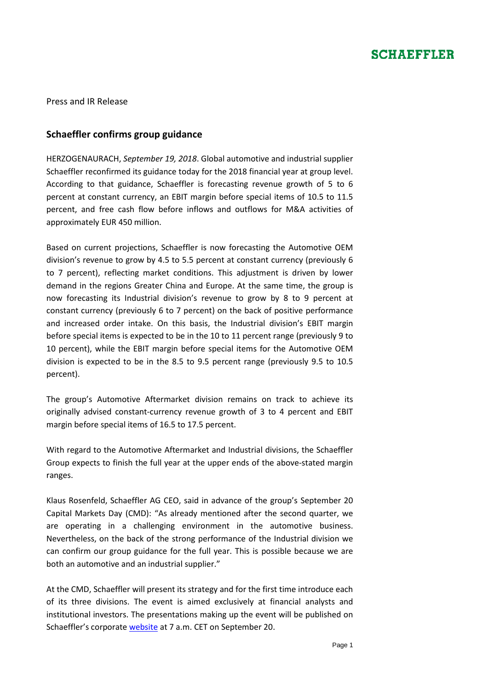## **SCHAEFFLER**

Press and IR Release

### **Schaeffler confirms group guidance**

HERZOGENAURACH, *September 19, 2018*. Global automotive and industrial supplier Schaeffler reconfirmed its guidance today for the 2018 financial year at group level. According to that guidance, Schaeffler is forecasting revenue growth of 5 to 6 percent at constant currency, an EBIT margin before special items of 10.5 to 11.5 percent, and free cash flow before inflows and outflows for M&A activities of approximately EUR 450 million.

Based on current projections, Schaeffler is now forecasting the Automotive OEM division's revenue to grow by 4.5 to 5.5 percent at constant currency (previously 6 to 7 percent), reflecting market conditions. This adjustment is driven by lower demand in the regions Greater China and Europe. At the same time, the group is now forecasting its Industrial division's revenue to grow by 8 to 9 percent at constant currency (previously 6 to 7 percent) on the back of positive performance and increased order intake. On this basis, the Industrial division's EBIT margin before special items is expected to be in the 10 to 11 percent range (previously 9 to 10 percent), while the EBIT margin before special items for the Automotive OEM division is expected to be in the 8.5 to 9.5 percent range (previously 9.5 to 10.5 percent).

The group's Automotive Aftermarket division remains on track to achieve its originally advised constant-currency revenue growth of 3 to 4 percent and EBIT margin before special items of 16.5 to 17.5 percent.

With regard to the Automotive Aftermarket and Industrial divisions, the Schaeffler Group expects to finish the full year at the upper ends of the above-stated margin ranges.

Klaus Rosenfeld, Schaeffler AG CEO, said in advance of the group's September 20 Capital Markets Day (CMD): "As already mentioned after the second quarter, we are operating in a challenging environment in the automotive business. Nevertheless, on the back of the strong performance of the Industrial division we can confirm our group guidance for the full year. This is possible because we are both an automotive and an industrial supplier."

At the CMD, Schaeffler will present its strategy and for the first time introduce each of its three divisions. The event is aimed exclusively at financial analysts and institutional investors. The presentations making up the event will be published on Schaeffler's corporat[e website](https://www.schaeffler.com/content.schaeffler.com/en/investor_relations/events_publications/capital_markets_day/capital_markets_day.jsp) at 7 a.m. CET on September 20.